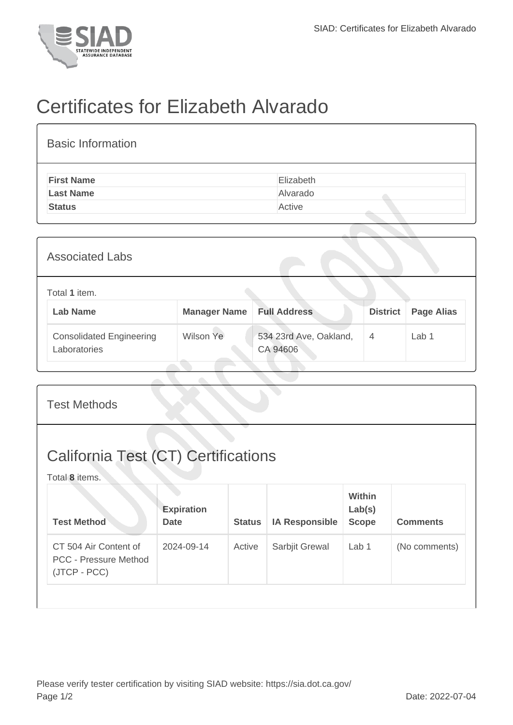

## Certificates for Elizabeth Alvarado

| <b>Basic Information</b> |           |
|--------------------------|-----------|
| <b>First Name</b>        | Elizabeth |
| <b>Last Name</b>         | Alvarado  |
| <b>Status</b>            | Active    |
|                          |           |

| <b>Associated Labs</b>                          |                     |                                    |                 |                   |  |  |
|-------------------------------------------------|---------------------|------------------------------------|-----------------|-------------------|--|--|
| Total 1 item.<br><b>Lab Name</b>                | <b>Manager Name</b> | <b>Full Address</b>                | <b>District</b> | <b>Page Alias</b> |  |  |
| <b>Consolidated Engineering</b><br>Laboratories | Wilson Ye           | 534 23rd Ave, Oakland,<br>CA 94606 | $\overline{4}$  | Lab 1             |  |  |

| <b>Test Methods</b>                                                   |                                  |               |                       |                                         |                 |  |
|-----------------------------------------------------------------------|----------------------------------|---------------|-----------------------|-----------------------------------------|-----------------|--|
| <b>California Test (CT) Certifications</b><br>Total 8 items.          |                                  |               |                       |                                         |                 |  |
| <b>Test Method</b>                                                    | <b>Expiration</b><br><b>Date</b> | <b>Status</b> | <b>IA Responsible</b> | <b>Within</b><br>Lab(s)<br><b>Scope</b> | <b>Comments</b> |  |
| CT 504 Air Content of<br><b>PCC - Pressure Method</b><br>(JTCP - PCC) | 2024-09-14                       | Active        | Sarbjit Grewal        | Lab 1                                   | (No comments)   |  |
|                                                                       |                                  |               |                       |                                         |                 |  |